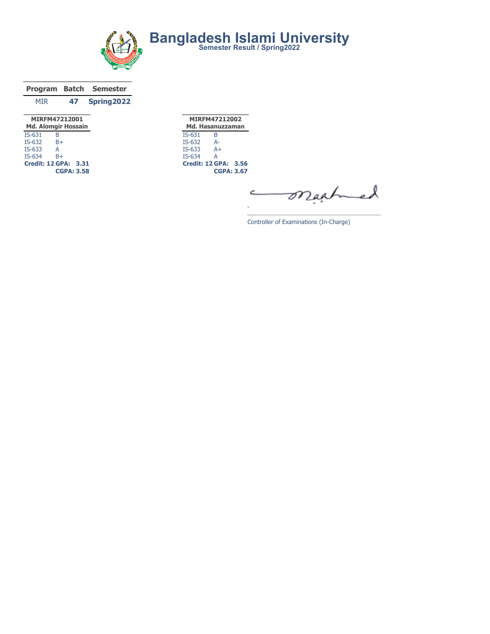

|                                             |    | <b>Program Batch Semester</b> |  |  |  |  |  |
|---------------------------------------------|----|-------------------------------|--|--|--|--|--|
| MIR                                         | 47 | Spring2022                    |  |  |  |  |  |
| MIRFM47212001<br><b>Md. Alomgir Hossain</b> |    |                               |  |  |  |  |  |
| IS-631                                      |    |                               |  |  |  |  |  |

|        | <b>CGPA: 3.58</b>    |  |
|--------|----------------------|--|
|        | Credit: 12 GPA: 3.31 |  |
| IS-634 | B+                   |  |
| IS-633 | А                    |  |
| IS-632 | B+                   |  |

MIRFM47212002 Md. Hasanuzzaman IS-631 B IS-632 A-IS-633 A+ IS-634 Credit: 12 GPA: 3.56 CGPA: 3.67

mached C

Controller of Examinations (In-Charge)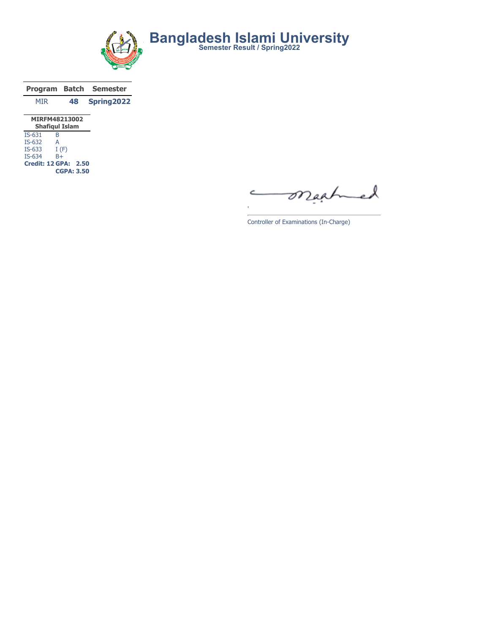

|               |    | Program Batch Semester |
|---------------|----|------------------------|
| <b>MTR</b>    | 48 | Spring2022             |
| MIRFM48213002 |    |                        |

| <b>Shafiqul Islam</b> |                             |  |  |  |  |  |  |  |  |
|-----------------------|-----------------------------|--|--|--|--|--|--|--|--|
| $IS-631$              | B                           |  |  |  |  |  |  |  |  |
| $IS-632$              | А                           |  |  |  |  |  |  |  |  |
| $IS-633$              | I(F)                        |  |  |  |  |  |  |  |  |
| $IS-634$              | $B+$                        |  |  |  |  |  |  |  |  |
|                       | <b>Credit: 12 GPA: 2.50</b> |  |  |  |  |  |  |  |  |
|                       | <b>CGPA: 3.50</b>           |  |  |  |  |  |  |  |  |

mached C

Controller of Examinations (In-Charge)